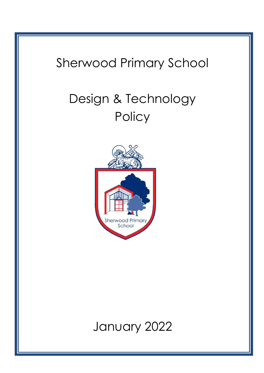## Sherwood Primary School

# Design & Technology **Policy**



## January 2022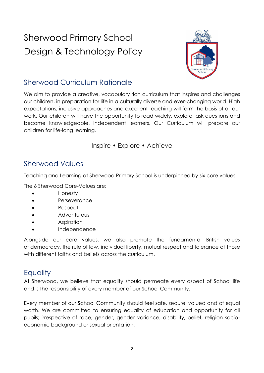### Sherwood Primary School Design & Technology Policy



#### Sherwood Curriculum Rationale

We aim to provide a creative, vocabulary rich curriculum that inspires and challenges our children, in preparation for life in a culturally diverse and ever-changing world. High expectations, inclusive approaches and excellent teaching will form the basis of all our work. Our children will have the opportunity to read widely, explore, ask questions and become knowledgeable, independent learners. Our Curriculum will prepare our children for life-long learning.

#### Inspire • Explore • Achieve

#### Sherwood Values

Teaching and Learning at Sherwood Primary School is underpinned by six core values.

The 6 Sherwood Core-Values are:

- Honesty
- **Perseverance**
- Respect
- Adventurous
- **Aspiration**
- **Independence**

Alongside our core values, we also promote the fundamental British values of democracy, the rule of law, individual liberty, mutual respect and tolerance of those with different faiths and beliefs across the curriculum.

#### **Equality**

At Sherwood, we believe that equality should permeate every aspect of School life and is the responsibility of every member of our School Community.

Every member of our School Community should feel safe, secure, valued and of equal worth. We are committed to ensuring equality of education and opportunity for all pupils; irrespective of race, gender, gender variance, disability, belief, religion socioeconomic background or sexual orientation.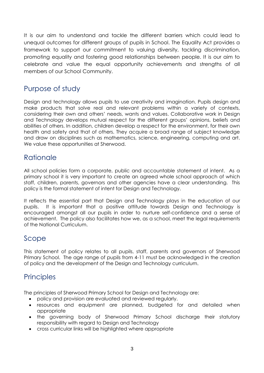It is our aim to understand and tackle the different barriers which could lead to unequal outcomes for different groups of pupils in School. The Equality Act provides a framework to support our commitment to valuing diversity, tackling discrimination, promoting equality and fostering good relationships between people. It is our aim to celebrate and value the equal opportunity achievements and strengths of all members of our School Community.

#### Purpose of study

Design and technology allows pupils to use creativity and imagination. Pupils design and make products that solve real and relevant problems within a variety of contexts, considering their own and others' needs, wants and values. Collaborative work in Design and Technology develops mutual respect for the different groups' opinions, beliefs and abilities of others. In addition, children develop a respect for the environment, for their own health and safety and that of others. They acquire a broad range of subject knowledge and draw on disciplines such as mathematics, science, engineering, computing and art. We value these opportunities at Sherwood.

#### Rationale

All school policies form a corporate, public and accountable statement of intent. As a primary school it is very important to create an agreed whole school approach of which staff, children, parents, governors and other agencies have a clear understanding. This policy is the formal statement of intent for Design and Technology.

It reflects the essential part that Design and Technology plays in the education of our pupils. It is important that a positive attitude towards Design and Technology is encouraged amongst all our pupils in order to nurture self-confidence and a sense of achievement. The policy also facilitates how we, as a school, meet the legal requirements of the National Curriculum.

#### Scope

This statement of policy relates to all pupils, staff, parents and governors of Sherwood Primary School. The age range of pupils from 4-11 must be acknowledged in the creation of policy and the development of the Design and Technology curriculum.

#### **Principles**

The principles of Sherwood Primary School for Design and Technology are:

- policy and provision are evaluated and reviewed regularly.
- resources and equipment are planned, budgeted for and detailed when appropriate
- the governing body of Sherwood Primary School discharge their statutory responsibility with regard to Design and Technology
- cross curricular links will be highlighted where appropriate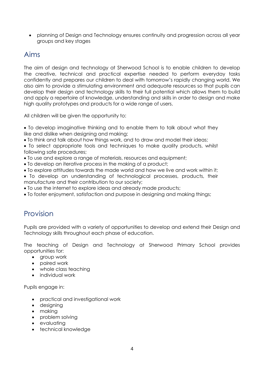• planning of Design and Technology ensures continuity and progression across all year groups and key stages

#### Aims

The aim of design and technology at Sherwood School is to enable children to develop the creative, technical and practical expertise needed to perform everyday tasks confidently and prepares our children to deal with tomorrow's rapidly changing world. We also aim to provide a stimulating environment and adequate resources so that pupils can develop their design and technology skills to their full potential which allows them to build and apply a repertoire of knowledge, understanding and skills in order to design and make high quality prototypes and products for a wide range of users.

All children will be given the opportunity to:

• To develop imaginative thinking and to enable them to talk about what they like and dislike when designing and making;

- To think and talk about how things work, and to draw and model their ideas;
- To select appropriate tools and techniques to make quality products, whilst following safe procedures;
- To use and explore a range of materials, resources and equipment;
- To develop an iterative process in the making of a product;
- To explore attitudes towards the made world and how we live and work within it;
- To develop an understanding of technological processes, products, their manufacture and their contribution to our society;
- To use the internet to explore ideas and already made products;
- To foster enjoyment, satisfaction and purpose in designing and making things;

#### Provision

Pupils are provided with a variety of opportunities to develop and extend their Design and Technology skills throughout each phase of education.

The teaching of Design and Technology at Sherwood Primary School provides opportunities for:

- group work
- paired work
- whole class teaching
- individual work

Pupils engage in:

- practical and investigational work
- designing
- making
- problem solving
- evaluating
- technical knowledge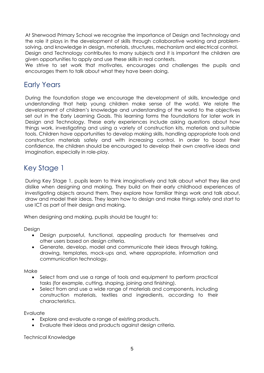At Sherwood Primary School we recognise the importance of Design and Technology and the role it plays in the development of skills through collaborative working and problemsolving, and knowledge in design, materials, structures, mechanism and electrical control. Design and Technology contributes to many subjects and it is important the children are given opportunities to apply and use these skills in real contexts.

We strive to set work that motivates, encourages and challenges the pupils and encourages them to talk about what they have been doing.

#### Early Years

During the foundation stage we encourage the development of skills, knowledge and understanding that help young children make sense of the world. We relate the development of children's knowledge and understanding of the world to the objectives set out in the Early Learning Goals. This learning forms the foundations for later work in Design and Technology. These early experiences include asking questions about how things work, investigating and using a variety of construction kits, materials and suitable tools. Children have opportunities to develop making skills, handling appropriate tools and construction materials safely and with increasing control. In order to boost their confidence, the children should be encouraged to develop their own creative ideas and imagination, especially in role-play.

### Key Stage 1

During Key Stage 1, pupils learn to think imaginatively and talk about what they like and dislike when designing and making. They build on their early childhood experiences of investigating objects around them. They explore how familiar things work and talk about, draw and model their ideas. They learn how to design and make things safely and start to use ICT as part of their design and making.

When designing and making, pupils should be taught to:

Design

- Design purposeful, functional, appealing products for themselves and other users based on design criteria.
- Generate, develop, model and communicate their ideas through talking, drawing, templates, mock-ups and, where appropriate, information and communication technology.

Make

- Select from and use a range of tools and equipment to perform practical tasks (for example, cutting, shaping, joining and finishing).
- Select from and use a wide range of materials and components, including construction materials, textiles and ingredients, according to their characteristics.

Evaluate

- Explore and evaluate a range of existing products.
- Evaluate their ideas and products against design criteria.

Technical Knowledge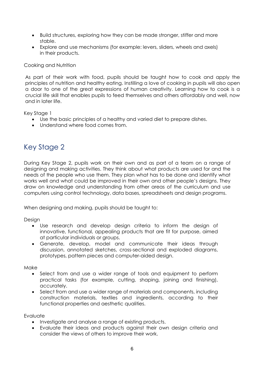- Build structures, exploring how they can be made stronger, stiffer and more stable.
- Explore and use mechanisms (for example: levers, sliders, wheels and axels) in their products.

#### Cooking and Nutrition

As part of their work with food, pupils should be taught how to cook and apply the principles of nutrition and healthy eating. Instilling a love of cooking in pupils will also open a door to one of the great expressions of human creativity. Learning how to cook is a crucial life skill that enables pupils to feed themselves and others affordably and well, now and in later life.

Key Stage 1

- Use the basic principles of a healthy and varied diet to prepare dishes.
- Understand where food comes from.

### Key Stage 2

During Key Stage 2, pupils work on their own and as part of a team on a range of designing and making activities. They think about what products are used for and the needs of the people who use them. They plan what has to be done and identify what works well and what could be improved in their own and other people's designs. They draw on knowledge and understanding from other areas of the curriculum and use computers using control technology, data bases, spreadsheets and design programs.

When designing and making, pupils should be taught to:

Design

- Use research and develop design criteria to inform the design of innovative, functional, appealing products that are fit for purpose, aimed at particular individuals or groups.
- Generate, develop, model and communicate their ideas through discussion, annotated sketches, cross-sectional and exploded diagrams, prototypes, pattern pieces and computer-aided design.

Make

- Select from and use a wider range of tools and equipment to perform practical tasks (for example, cutting, shaping, joining and finishing), accurately.
- Select from and use a wider range of materials and components, including construction materials, textiles and ingredients, according to their functional properties and aesthetic qualities.

Evaluate

- Investigate and analyse a range of existing products.
- Evaluate their ideas and products against their own design criteria and consider the views of others to improve their work.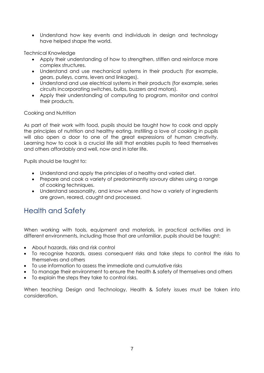• Understand how key events and individuals in design and technology have helped shape the world.

Technical Knowledge

- Apply their understanding of how to strengthen, stiffen and reinforce more complex structures.
- Understand and use mechanical systems in their products (for example, gears, pulleys, cams, levers and linkages).
- Understand and use electrical systems in their products (for example, series circuits incorporating switches, bulbs, buzzers and motors).
- Apply their understanding of computing to program, monitor and control their products.

#### Cooking and Nutrition

As part of their work with food, pupils should be taught how to cook and apply the principles of nutrition and healthy eating. Instilling a love of cooking in pupils will also open a door to one of the great expressions of human creativity. Learning how to cook is a crucial life skill that enables pupils to feed themselves and others affordably and well, now and in later life.

Pupils should be taught to:

- Understand and apply the principles of a healthy and varied diet.
- Prepare and cook a variety of predominantly savoury dishes using a range of cooking techniques.
- Understand seasonality, and know where and how a variety of ingredients are grown, reared, caught and processed.

#### Health and Safety

When working with tools, equipment and materials, in practical activities and in different environments, including those that are unfamiliar, pupils should be taught:

- About hazards, risks and risk control
- To recognise hazards, assess consequent risks and take steps to control the risks to themselves and others
- To use information to assess the immediate and cumulative risks
- To manage their environment to ensure the health & safety of themselves and others
- To explain the steps they take to control risks.

When teaching Design and Technology, Health & Safety issues must be taken into consideration.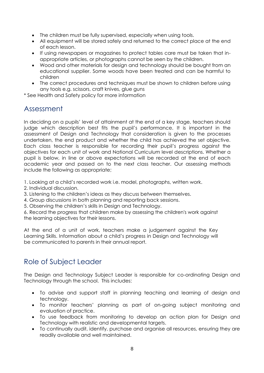- The children must be fully supervised, especially when using tools.
- All equipment will be stored safely and returned to the correct place at the end of each lesson.
- If using newspapers or magazines to protect tables care must be taken that inappropriate articles, or photographs cannot be seen by the children.
- Wood and other materials for design and technology should be bought from an educational supplier. Some woods have been treated and can be harmful to children
- The correct procedures and techniques must be shown to children before using any tools e.g. scissors, craft knives, glue guns

\* See Health and Safety policy for more information

#### Assessment

In deciding on a pupils' level of attainment at the end of a key stage, teachers should judge which description best fits the pupil's performance. It is important in the assessment of Design and Technology that consideration is given to the processes undertaken, the end product and whether the child has achieved the set objective. Each class teacher is responsible for recording their pupil's progress against the objectives for each unit of work and National Curriculum level descriptions. Whether a pupil is below, in line or above expectations will be recorded at the end of each academic year and passed on to the next class teacher. Our assessing methods include the following as appropriate;

1. Looking at a child's recorded work i.e. model, photographs, written work.

- 2. Individual discussion.
- 3. Listening to the children's ideas as they discuss between themselves.
- 4. Group discussions in both planning and reporting back sessions.
- 5. Observing the children's skills in Design and Technology.

6. Record the progress that children make by assessing the children's work against the learning objectives for their lessons.

At the end of a unit of work, teachers make a judgement against the Key Learning Skills. Information about a child's progress in Design and Technology will be communicated to parents in their annual report.

#### Role of Subject Leader

The Design and Technology Subject Leader is responsible for co-ordinating Design and Technology through the school. This includes:

- To advise and support staff in planning teaching and learning of design and technology.
- To monitor teachers' planning as part of on-going subject monitoring and evaluation of practice.
- To use feedback from monitoring to develop an action plan for Design and Technology with realistic and developmental targets.
- To continually audit, identify, purchase and organise all resources, ensuring they are readily available and well maintained.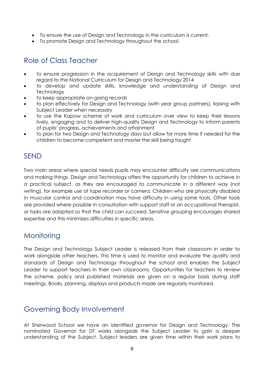- To ensure the use of Design and Technology in the curriculum is current.
- To promote Design and Technology throughout the school.

### Role of Class Teacher

- to ensure progression in the acquirement of Design and Technology skills with due regard to the National Curriculum for Design and Technology 2014
- to develop and update skills, knowledge and understanding of Design and **Technology**
- to keep appropriate on-going records
- to plan effectively for Design and Technology (with year group partners), liaising with Subject Leader when necessary
- to use the Kapow scheme of work and curriculum over view to keep their lessons lively, engaging and to deliver high-quality Design and Technology to inform parents of pupils' progress, achievements and attainment
- to plan for two Design and Technology days but allow for more time if needed for the children to become competent and master the skill being taught

#### SEND

Two main areas where special needs pupils may encounter difficulty are communications and making things. Design and Technology offers the opportunity for children to achieve in a practical subject, as they are encouraged to communicate in a different way (not writing), for example use of tape recorder or camera. Children who are physically disabled in muscular control and coordination may have difficulty in using some tools. Other tools are provided where possible in consultation with support staff or an occupational therapist, or tasks are adapted so that the child can succeed. Sensitive grouping encourages shared expertise and this minimizes difficulties in specific areas.

#### **Monitoring**

The Design and Technology Subject Leader is released from their classroom in order to work alongside other teachers. This time is used to monitor and evaluate the quality and standards of Design and Technology throughout the school and enables the Subject Leader to support teachers in their own classrooms. Opportunities for teachers to review the scheme, policy and published materials are given on a regular basis during staff meetings. Books, planning, displays and products made are regularly monitored.

#### Governing Body Involvement

At Sherwood School we have an identified governor for Design and Technology. The nominated Governor for DT works alongside the Subject Leader to gain a deeper understanding of the Subject. Subject leaders are given time within their work plans to